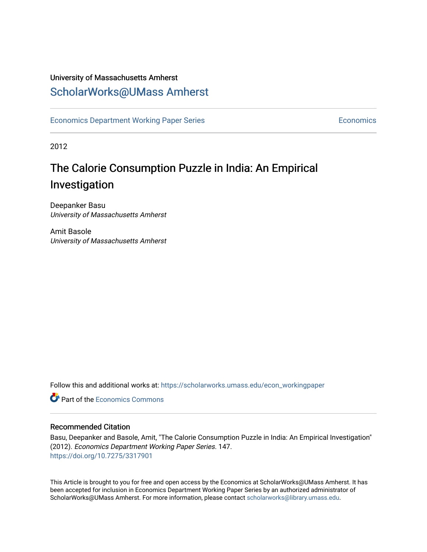## University of Massachusetts Amherst [ScholarWorks@UMass Amherst](https://scholarworks.umass.edu/)

[Economics Department Working Paper Series](https://scholarworks.umass.edu/econ_workingpaper) **Economics** Economics

2012

## The Calorie Consumption Puzzle in India: An Empirical Investigation

Deepanker Basu University of Massachusetts Amherst

Amit Basole University of Massachusetts Amherst

Follow this and additional works at: [https://scholarworks.umass.edu/econ\\_workingpaper](https://scholarworks.umass.edu/econ_workingpaper?utm_source=scholarworks.umass.edu%2Fecon_workingpaper%2F147&utm_medium=PDF&utm_campaign=PDFCoverPages) 

**C** Part of the [Economics Commons](http://network.bepress.com/hgg/discipline/340?utm_source=scholarworks.umass.edu%2Fecon_workingpaper%2F147&utm_medium=PDF&utm_campaign=PDFCoverPages)

#### Recommended Citation

Basu, Deepanker and Basole, Amit, "The Calorie Consumption Puzzle in India: An Empirical Investigation" (2012). Economics Department Working Paper Series. 147. <https://doi.org/10.7275/3317901>

This Article is brought to you for free and open access by the Economics at ScholarWorks@UMass Amherst. It has been accepted for inclusion in Economics Department Working Paper Series by an authorized administrator of ScholarWorks@UMass Amherst. For more information, please contact [scholarworks@library.umass.edu.](mailto:scholarworks@library.umass.edu)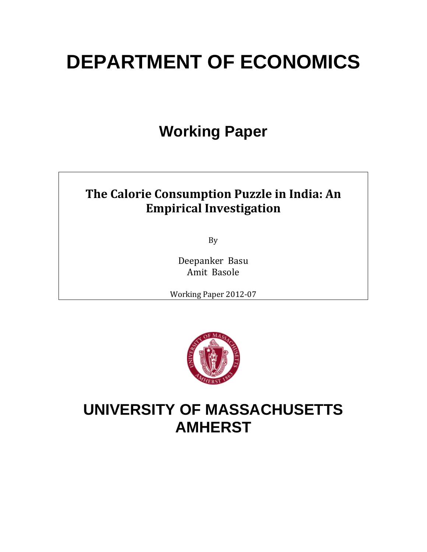# **DEPARTMENT OF ECONOMICS**

## **Working Paper**

## **The Calorie Consumption Puzzle in India: An Empirical Investigation**

By 

Deepanker Basu Amit Basole

Working Paper 2012-07



## **UNIVERSITY OF MASSACHUSETTS AMHERST**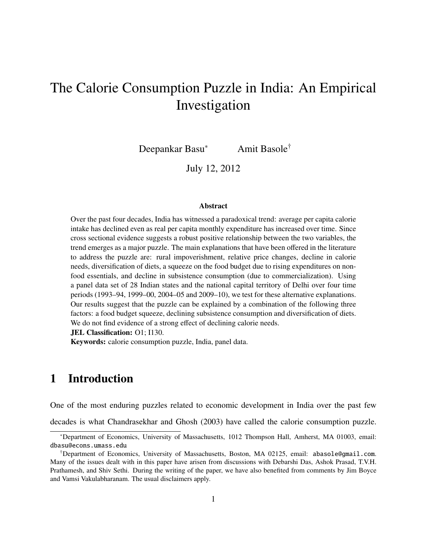## The Calorie Consumption Puzzle in India: An Empirical Investigation

Deepankar Basu<sup>∗</sup> Amit Basole†

July 12, 2012

#### Abstract

Over the past four decades, India has witnessed a paradoxical trend: average per capita calorie intake has declined even as real per capita monthly expenditure has increased over time. Since cross sectional evidence suggests a robust positive relationship between the two variables, the trend emerges as a major puzzle. The main explanations that have been offered in the literature to address the puzzle are: rural impoverishment, relative price changes, decline in calorie needs, diversification of diets, a squeeze on the food budget due to rising expenditures on nonfood essentials, and decline in subsistence consumption (due to commercialization). Using a panel data set of 28 Indian states and the national capital territory of Delhi over four time periods (1993–94, 1999–00, 2004–05 and 2009–10), we test for these alternative explanations. Our results suggest that the puzzle can be explained by a combination of the following three factors: a food budget squeeze, declining subsistence consumption and diversification of diets. We do not find evidence of a strong effect of declining calorie needs.

JEL Classification: O1; I130.

Keywords: calorie consumption puzzle, India, panel data.

## 1 Introduction

One of the most enduring puzzles related to economic development in India over the past few

decades is what Chandrasekhar and Ghosh (2003) have called the calorie consumption puzzle.

<sup>∗</sup>Department of Economics, University of Massachusetts, 1012 Thompson Hall, Amherst, MA 01003, email: dbasu@econs.umass.edu

<sup>†</sup>Department of Economics, University of Massachusetts, Boston, MA 02125, email: abasole@gmail.com. Many of the issues dealt with in this paper have arisen from discussions with Debarshi Das, Ashok Prasad, T.V.H. Prathamesh, and Shiv Sethi. During the writing of the paper, we have also benefited from comments by Jim Boyce and Vamsi Vakulabharanam. The usual disclaimers apply.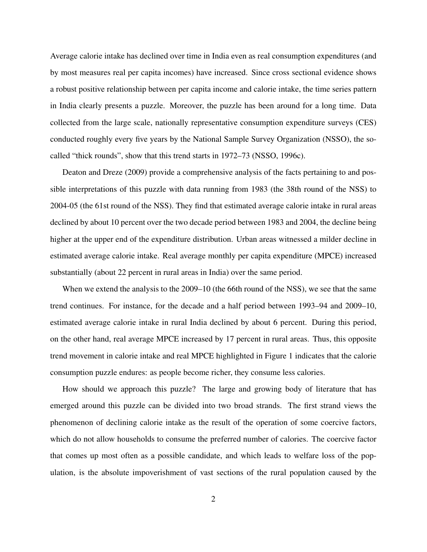Average calorie intake has declined over time in India even as real consumption expenditures (and by most measures real per capita incomes) have increased. Since cross sectional evidence shows a robust positive relationship between per capita income and calorie intake, the time series pattern in India clearly presents a puzzle. Moreover, the puzzle has been around for a long time. Data collected from the large scale, nationally representative consumption expenditure surveys (CES) conducted roughly every five years by the National Sample Survey Organization (NSSO), the socalled "thick rounds", show that this trend starts in 1972–73 (NSSO, 1996c).

Deaton and Dreze (2009) provide a comprehensive analysis of the facts pertaining to and possible interpretations of this puzzle with data running from 1983 (the 38th round of the NSS) to 2004-05 (the 61st round of the NSS). They find that estimated average calorie intake in rural areas declined by about 10 percent over the two decade period between 1983 and 2004, the decline being higher at the upper end of the expenditure distribution. Urban areas witnessed a milder decline in estimated average calorie intake. Real average monthly per capita expenditure (MPCE) increased substantially (about 22 percent in rural areas in India) over the same period.

When we extend the analysis to the 2009–10 (the 66th round of the NSS), we see that the same trend continues. For instance, for the decade and a half period between 1993–94 and 2009–10, estimated average calorie intake in rural India declined by about 6 percent. During this period, on the other hand, real average MPCE increased by 17 percent in rural areas. Thus, this opposite trend movement in calorie intake and real MPCE highlighted in Figure 1 indicates that the calorie consumption puzzle endures: as people become richer, they consume less calories.

How should we approach this puzzle? The large and growing body of literature that has emerged around this puzzle can be divided into two broad strands. The first strand views the phenomenon of declining calorie intake as the result of the operation of some coercive factors, which do not allow households to consume the preferred number of calories. The coercive factor that comes up most often as a possible candidate, and which leads to welfare loss of the population, is the absolute impoverishment of vast sections of the rural population caused by the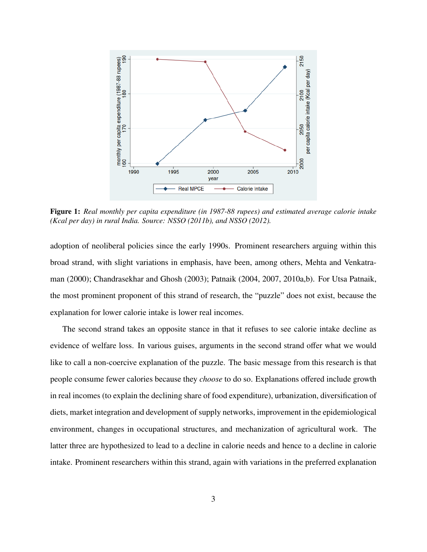

Figure 1: *Real monthly per capita expenditure (in 1987-88 rupees) and estimated average calorie intake (Kcal per day) in rural India. Source: NSSO (2011b), and NSSO (2012).*

adoption of neoliberal policies since the early 1990s. Prominent researchers arguing within this broad strand, with slight variations in emphasis, have been, among others, Mehta and Venkatraman (2000); Chandrasekhar and Ghosh (2003); Patnaik (2004, 2007, 2010a,b). For Utsa Patnaik, the most prominent proponent of this strand of research, the "puzzle" does not exist, because the explanation for lower calorie intake is lower real incomes.

The second strand takes an opposite stance in that it refuses to see calorie intake decline as evidence of welfare loss. In various guises, arguments in the second strand offer what we would like to call a non-coercive explanation of the puzzle. The basic message from this research is that people consume fewer calories because they *choose* to do so. Explanations offered include growth in real incomes (to explain the declining share of food expenditure), urbanization, diversification of diets, market integration and development of supply networks, improvement in the epidemiological environment, changes in occupational structures, and mechanization of agricultural work. The latter three are hypothesized to lead to a decline in calorie needs and hence to a decline in calorie intake. Prominent researchers within this strand, again with variations in the preferred explanation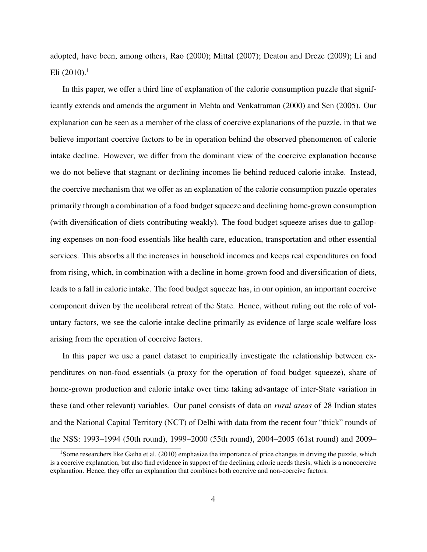adopted, have been, among others, Rao (2000); Mittal (2007); Deaton and Dreze (2009); Li and Eli  $(2010).$ <sup>1</sup>

In this paper, we offer a third line of explanation of the calorie consumption puzzle that significantly extends and amends the argument in Mehta and Venkatraman (2000) and Sen (2005). Our explanation can be seen as a member of the class of coercive explanations of the puzzle, in that we believe important coercive factors to be in operation behind the observed phenomenon of calorie intake decline. However, we differ from the dominant view of the coercive explanation because we do not believe that stagnant or declining incomes lie behind reduced calorie intake. Instead, the coercive mechanism that we offer as an explanation of the calorie consumption puzzle operates primarily through a combination of a food budget squeeze and declining home-grown consumption (with diversification of diets contributing weakly). The food budget squeeze arises due to galloping expenses on non-food essentials like health care, education, transportation and other essential services. This absorbs all the increases in household incomes and keeps real expenditures on food from rising, which, in combination with a decline in home-grown food and diversification of diets, leads to a fall in calorie intake. The food budget squeeze has, in our opinion, an important coercive component driven by the neoliberal retreat of the State. Hence, without ruling out the role of voluntary factors, we see the calorie intake decline primarily as evidence of large scale welfare loss arising from the operation of coercive factors.

In this paper we use a panel dataset to empirically investigate the relationship between expenditures on non-food essentials (a proxy for the operation of food budget squeeze), share of home-grown production and calorie intake over time taking advantage of inter-State variation in these (and other relevant) variables. Our panel consists of data on *rural areas* of 28 Indian states and the National Capital Territory (NCT) of Delhi with data from the recent four "thick" rounds of the NSS: 1993–1994 (50th round), 1999–2000 (55th round), 2004–2005 (61st round) and 2009–

<sup>&</sup>lt;sup>1</sup>Some researchers like Gaiha et al. (2010) emphasize the importance of price changes in driving the puzzle, which is a coercive explanation, but also find evidence in support of the declining calorie needs thesis, which is a noncoercive explanation. Hence, they offer an explanation that combines both coercive and non-coercive factors.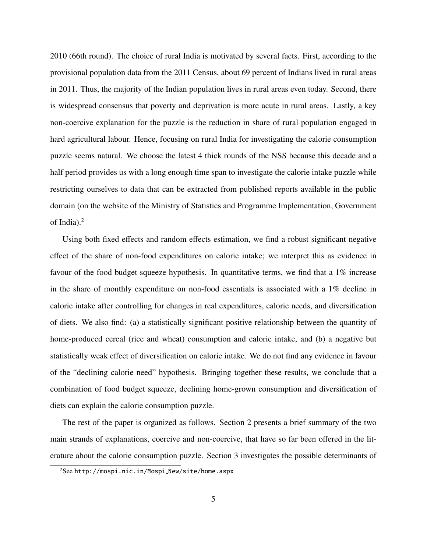2010 (66th round). The choice of rural India is motivated by several facts. First, according to the provisional population data from the 2011 Census, about 69 percent of Indians lived in rural areas in 2011. Thus, the majority of the Indian population lives in rural areas even today. Second, there is widespread consensus that poverty and deprivation is more acute in rural areas. Lastly, a key non-coercive explanation for the puzzle is the reduction in share of rural population engaged in hard agricultural labour. Hence, focusing on rural India for investigating the calorie consumption puzzle seems natural. We choose the latest 4 thick rounds of the NSS because this decade and a half period provides us with a long enough time span to investigate the calorie intake puzzle while restricting ourselves to data that can be extracted from published reports available in the public domain (on the website of the Ministry of Statistics and Programme Implementation, Government of India).<sup>2</sup>

Using both fixed effects and random effects estimation, we find a robust significant negative effect of the share of non-food expenditures on calorie intake; we interpret this as evidence in favour of the food budget squeeze hypothesis. In quantitative terms, we find that a 1% increase in the share of monthly expenditure on non-food essentials is associated with a 1% decline in calorie intake after controlling for changes in real expenditures, calorie needs, and diversification of diets. We also find: (a) a statistically significant positive relationship between the quantity of home-produced cereal (rice and wheat) consumption and calorie intake, and (b) a negative but statistically weak effect of diversification on calorie intake. We do not find any evidence in favour of the "declining calorie need" hypothesis. Bringing together these results, we conclude that a combination of food budget squeeze, declining home-grown consumption and diversification of diets can explain the calorie consumption puzzle.

The rest of the paper is organized as follows. Section 2 presents a brief summary of the two main strands of explanations, coercive and non-coercive, that have so far been offered in the literature about the calorie consumption puzzle. Section 3 investigates the possible determinants of

 $2$ See http://mospi.nic.in/Mospi\_New/site/home.aspx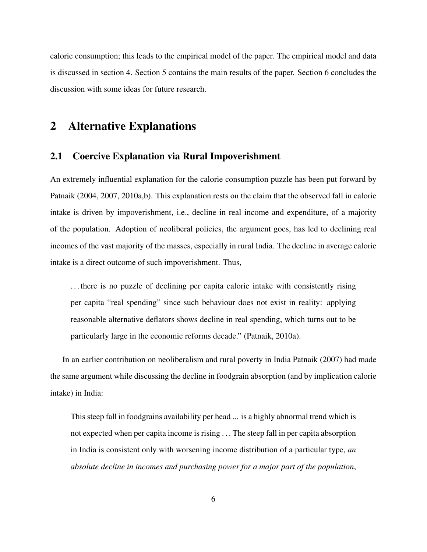calorie consumption; this leads to the empirical model of the paper. The empirical model and data is discussed in section 4. Section 5 contains the main results of the paper. Section 6 concludes the discussion with some ideas for future research.

### 2 Alternative Explanations

#### 2.1 Coercive Explanation via Rural Impoverishment

An extremely influential explanation for the calorie consumption puzzle has been put forward by Patnaik (2004, 2007, 2010a,b). This explanation rests on the claim that the observed fall in calorie intake is driven by impoverishment, i.e., decline in real income and expenditure, of a majority of the population. Adoption of neoliberal policies, the argument goes, has led to declining real incomes of the vast majority of the masses, especially in rural India. The decline in average calorie intake is a direct outcome of such impoverishment. Thus,

. . . there is no puzzle of declining per capita calorie intake with consistently rising per capita "real spending" since such behaviour does not exist in reality: applying reasonable alternative deflators shows decline in real spending, which turns out to be particularly large in the economic reforms decade." (Patnaik, 2010a).

In an earlier contribution on neoliberalism and rural poverty in India Patnaik (2007) had made the same argument while discussing the decline in foodgrain absorption (and by implication calorie intake) in India:

This steep fall in foodgrains availability per head ... is a highly abnormal trend which is not expected when per capita income is rising . . . The steep fall in per capita absorption in India is consistent only with worsening income distribution of a particular type, *an absolute decline in incomes and purchasing power for a major part of the population*,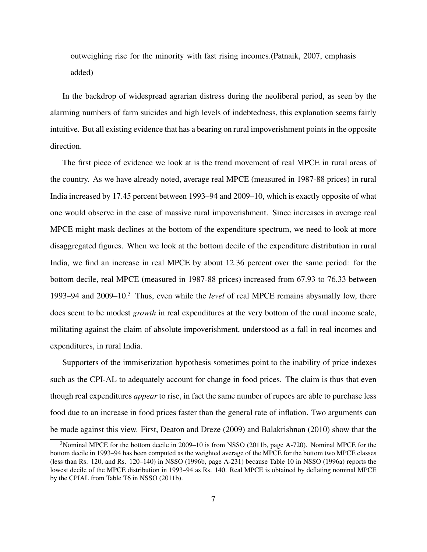outweighing rise for the minority with fast rising incomes.(Patnaik, 2007, emphasis added)

In the backdrop of widespread agrarian distress during the neoliberal period, as seen by the alarming numbers of farm suicides and high levels of indebtedness, this explanation seems fairly intuitive. But all existing evidence that has a bearing on rural impoverishment points in the opposite direction.

The first piece of evidence we look at is the trend movement of real MPCE in rural areas of the country. As we have already noted, average real MPCE (measured in 1987-88 prices) in rural India increased by 17.45 percent between 1993–94 and 2009–10, which is exactly opposite of what one would observe in the case of massive rural impoverishment. Since increases in average real MPCE might mask declines at the bottom of the expenditure spectrum, we need to look at more disaggregated figures. When we look at the bottom decile of the expenditure distribution in rural India, we find an increase in real MPCE by about 12.36 percent over the same period: for the bottom decile, real MPCE (measured in 1987-88 prices) increased from 67.93 to 76.33 between 1993–94 and 2009–10.<sup>3</sup> Thus, even while the *level* of real MPCE remains abysmally low, there does seem to be modest *growth* in real expenditures at the very bottom of the rural income scale, militating against the claim of absolute impoverishment, understood as a fall in real incomes and expenditures, in rural India.

Supporters of the immiserization hypothesis sometimes point to the inability of price indexes such as the CPI-AL to adequately account for change in food prices. The claim is thus that even though real expenditures *appear* to rise, in fact the same number of rupees are able to purchase less food due to an increase in food prices faster than the general rate of inflation. Two arguments can be made against this view. First, Deaton and Dreze (2009) and Balakrishnan (2010) show that the

<sup>&</sup>lt;sup>3</sup>Nominal MPCE for the bottom decile in 2009–10 is from NSSO (2011b, page A-720). Nominal MPCE for the bottom decile in 1993–94 has been computed as the weighted average of the MPCE for the bottom two MPCE classes (less than Rs. 120, and Rs. 120–140) in NSSO (1996b, page A-231) because Table 10 in NSSO (1996a) reports the lowest decile of the MPCE distribution in 1993–94 as Rs. 140. Real MPCE is obtained by deflating nominal MPCE by the CPIAL from Table T6 in NSSO (2011b).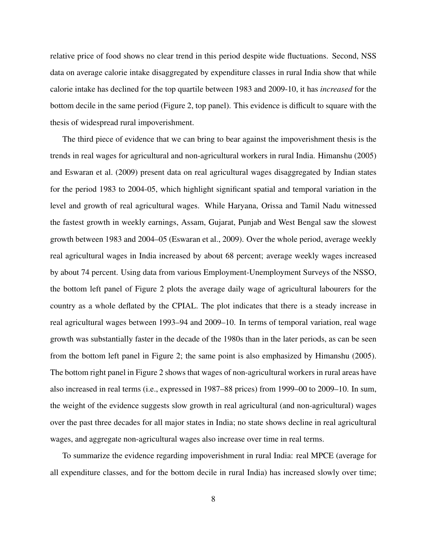relative price of food shows no clear trend in this period despite wide fluctuations. Second, NSS data on average calorie intake disaggregated by expenditure classes in rural India show that while calorie intake has declined for the top quartile between 1983 and 2009-10, it has *increased* for the bottom decile in the same period (Figure 2, top panel). This evidence is difficult to square with the thesis of widespread rural impoverishment.

The third piece of evidence that we can bring to bear against the impoverishment thesis is the trends in real wages for agricultural and non-agricultural workers in rural India. Himanshu (2005) and Eswaran et al. (2009) present data on real agricultural wages disaggregated by Indian states for the period 1983 to 2004-05, which highlight significant spatial and temporal variation in the level and growth of real agricultural wages. While Haryana, Orissa and Tamil Nadu witnessed the fastest growth in weekly earnings, Assam, Gujarat, Punjab and West Bengal saw the slowest growth between 1983 and 2004–05 (Eswaran et al., 2009). Over the whole period, average weekly real agricultural wages in India increased by about 68 percent; average weekly wages increased by about 74 percent. Using data from various Employment-Unemployment Surveys of the NSSO, the bottom left panel of Figure 2 plots the average daily wage of agricultural labourers for the country as a whole deflated by the CPIAL. The plot indicates that there is a steady increase in real agricultural wages between 1993–94 and 2009–10. In terms of temporal variation, real wage growth was substantially faster in the decade of the 1980s than in the later periods, as can be seen from the bottom left panel in Figure 2; the same point is also emphasized by Himanshu (2005). The bottom right panel in Figure 2 shows that wages of non-agricultural workers in rural areas have also increased in real terms (i.e., expressed in 1987–88 prices) from 1999–00 to 2009–10. In sum, the weight of the evidence suggests slow growth in real agricultural (and non-agricultural) wages over the past three decades for all major states in India; no state shows decline in real agricultural wages, and aggregate non-agricultural wages also increase over time in real terms.

To summarize the evidence regarding impoverishment in rural India: real MPCE (average for all expenditure classes, and for the bottom decile in rural India) has increased slowly over time;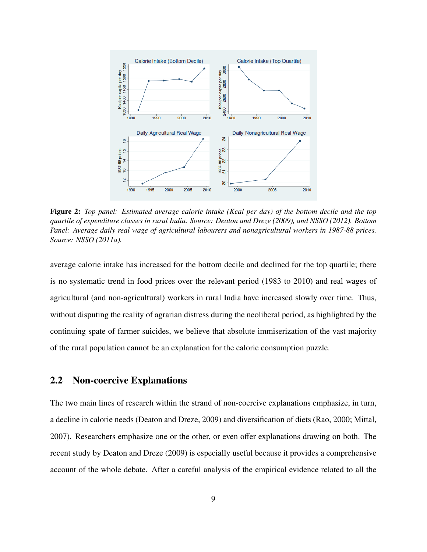

Figure 2: *Top panel: Estimated average calorie intake (Kcal per day) of the bottom decile and the top quartile of expenditure classes in rural India. Source: Deaton and Dreze (2009), and NSSO (2012). Bottom Panel: Average daily real wage of agricultural labourers and nonagricultural workers in 1987-88 prices. Source: NSSO (2011a).*

average calorie intake has increased for the bottom decile and declined for the top quartile; there is no systematic trend in food prices over the relevant period (1983 to 2010) and real wages of agricultural (and non-agricultural) workers in rural India have increased slowly over time. Thus, without disputing the reality of agrarian distress during the neoliberal period, as highlighted by the continuing spate of farmer suicides, we believe that absolute immiserization of the vast majority of the rural population cannot be an explanation for the calorie consumption puzzle.

#### 2.2 Non-coercive Explanations

The two main lines of research within the strand of non-coercive explanations emphasize, in turn, a decline in calorie needs (Deaton and Dreze, 2009) and diversification of diets (Rao, 2000; Mittal, 2007). Researchers emphasize one or the other, or even offer explanations drawing on both. The recent study by Deaton and Dreze (2009) is especially useful because it provides a comprehensive account of the whole debate. After a careful analysis of the empirical evidence related to all the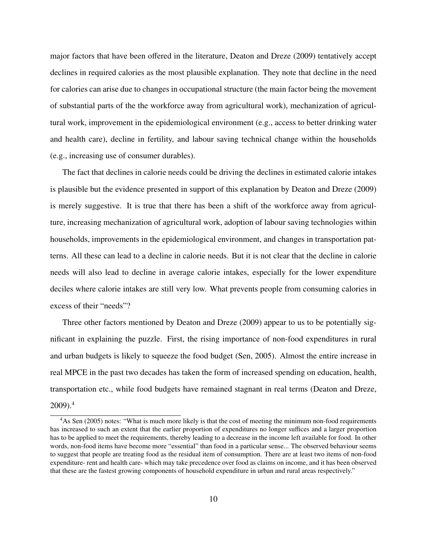major factors that have been offered in the literature, Deaton and Dreze (2009) tentatively accept declines in required calories as the most plausible explanation. They note that decline in the need for calories can arise due to changes in occupational structure (the main factor being the movement of substantial parts of the the workforce away from agricultural work), mechanization of agricultural work, improvement in the epidemiological environment (e.g., access to better drinking water and health care), decline in fertility, and labour saving technical change within the households (e.g., increasing use of consumer durables).

The fact that declines in calorie needs could be driving the declines in estimated calorie intakes is plausible but the evidence presented in support of this explanation by Deaton and Dreze (2009) is merely suggestive. It is true that there has been a shift of the workforce away from agriculture, increasing mechanization of agricultural work, adoption of labour saving technologies within households, improvements in the epidemiological environment, and changes in transportation patterns. All these can lead to a decline in calorie needs. But it is not clear that the decline in calorie needs will also lead to decline in average calorie intakes, especially for the lower expenditure deciles where calorie intakes are still very low. What prevents people from consuming calories in excess of their "needs"?

Three other factors mentioned by Deaton and Dreze (2009) appear to us to be potentially significant in explaining the puzzle. First, the rising importance of non-food expenditures in rural and urban budgets is likely to squeeze the food budget (Sen, 2005). Almost the entire increase in real MPCE in the past two decades has taken the form of increased spending on education, health, transportation etc., while food budgets have remained stagnant in real terms (Deaton and Dreze,  $2009$ ).<sup>4</sup>

<sup>&</sup>lt;sup>4</sup>As Sen (2005) notes: "What is much more likely is that the cost of meeting the minimum non-food requirements has increased to such an extent that the earlier proportion of expenditures no longer suffices and a larger proportion has to be applied to meet the requirements, thereby leading to a decrease in the income left available for food. In other words, non-food items have become more "essential" than food in a particular sense... The observed behaviour seems to suggest that people are treating food as the residual item of consumption. There are at least two items of non-food expenditure- rent and health care- which may take precedence over food as claims on income, and it has been observed that these are the fastest growing components of household expenditure in urban and rural areas respectively."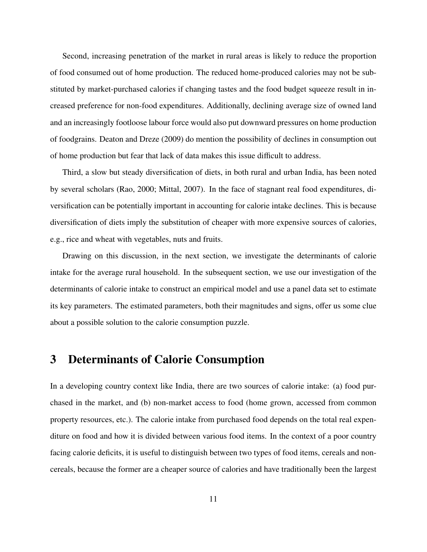Second, increasing penetration of the market in rural areas is likely to reduce the proportion of food consumed out of home production. The reduced home-produced calories may not be substituted by market-purchased calories if changing tastes and the food budget squeeze result in increased preference for non-food expenditures. Additionally, declining average size of owned land and an increasingly footloose labour force would also put downward pressures on home production of foodgrains. Deaton and Dreze (2009) do mention the possibility of declines in consumption out of home production but fear that lack of data makes this issue difficult to address.

Third, a slow but steady diversification of diets, in both rural and urban India, has been noted by several scholars (Rao, 2000; Mittal, 2007). In the face of stagnant real food expenditures, diversification can be potentially important in accounting for calorie intake declines. This is because diversification of diets imply the substitution of cheaper with more expensive sources of calories, e.g., rice and wheat with vegetables, nuts and fruits.

Drawing on this discussion, in the next section, we investigate the determinants of calorie intake for the average rural household. In the subsequent section, we use our investigation of the determinants of calorie intake to construct an empirical model and use a panel data set to estimate its key parameters. The estimated parameters, both their magnitudes and signs, offer us some clue about a possible solution to the calorie consumption puzzle.

### 3 Determinants of Calorie Consumption

In a developing country context like India, there are two sources of calorie intake: (a) food purchased in the market, and (b) non-market access to food (home grown, accessed from common property resources, etc.). The calorie intake from purchased food depends on the total real expenditure on food and how it is divided between various food items. In the context of a poor country facing calorie deficits, it is useful to distinguish between two types of food items, cereals and noncereals, because the former are a cheaper source of calories and have traditionally been the largest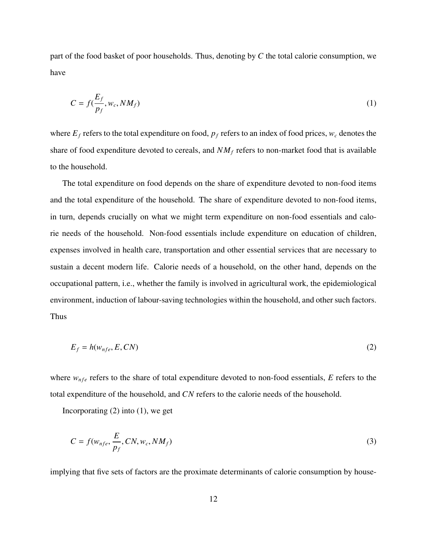part of the food basket of poor households. Thus, denoting by *C* the total calorie consumption, we have

$$
C = f(\frac{E_f}{p_f}, w_c, NM_f)
$$
 (1)

where  $E_f$  refers to the total expenditure on food,  $p_f$  refers to an index of food prices,  $w_c$  denotes the share of food expenditure devoted to cereals, and  $NM_f$  refers to non-market food that is available to the household.

The total expenditure on food depends on the share of expenditure devoted to non-food items and the total expenditure of the household. The share of expenditure devoted to non-food items, in turn, depends crucially on what we might term expenditure on non-food essentials and calorie needs of the household. Non-food essentials include expenditure on education of children, expenses involved in health care, transportation and other essential services that are necessary to sustain a decent modern life. Calorie needs of a household, on the other hand, depends on the occupational pattern, i.e., whether the family is involved in agricultural work, the epidemiological environment, induction of labour-saving technologies within the household, and other such factors. Thus

$$
E_f = h(w_{nfe}, E, CN) \tag{2}
$$

where  $w_{nfe}$  refers to the share of total expenditure devoted to non-food essentials,  $E$  refers to the total expenditure of the household, and *CN* refers to the calorie needs of the household.

Incorporating  $(2)$  into  $(1)$ , we get

$$
C = f(w_{nfe}, \frac{E}{p_f}, CN, w_c, NM_f)
$$
\n(3)

implying that five sets of factors are the proximate determinants of calorie consumption by house-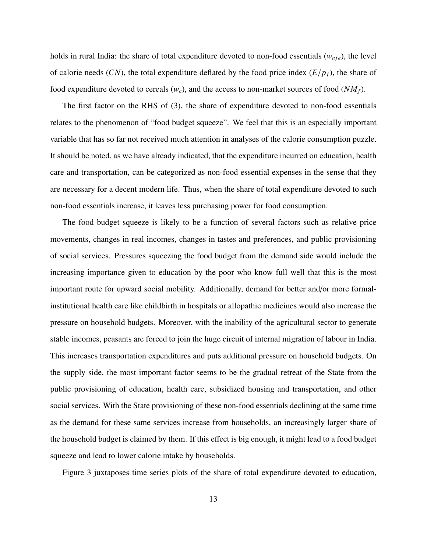holds in rural India: the share of total expenditure devoted to non-food essentials  $(w_{nfe})$ , the level of calorie needs  $(CN)$ , the total expenditure deflated by the food price index  $(E/p_f)$ , the share of food expenditure devoted to cereals  $(w_c)$ , and the access to non-market sources of food  $(NM_f)$ .

The first factor on the RHS of (3), the share of expenditure devoted to non-food essentials relates to the phenomenon of "food budget squeeze". We feel that this is an especially important variable that has so far not received much attention in analyses of the calorie consumption puzzle. It should be noted, as we have already indicated, that the expenditure incurred on education, health care and transportation, can be categorized as non-food essential expenses in the sense that they are necessary for a decent modern life. Thus, when the share of total expenditure devoted to such non-food essentials increase, it leaves less purchasing power for food consumption.

The food budget squeeze is likely to be a function of several factors such as relative price movements, changes in real incomes, changes in tastes and preferences, and public provisioning of social services. Pressures squeezing the food budget from the demand side would include the increasing importance given to education by the poor who know full well that this is the most important route for upward social mobility. Additionally, demand for better and/or more formalinstitutional health care like childbirth in hospitals or allopathic medicines would also increase the pressure on household budgets. Moreover, with the inability of the agricultural sector to generate stable incomes, peasants are forced to join the huge circuit of internal migration of labour in India. This increases transportation expenditures and puts additional pressure on household budgets. On the supply side, the most important factor seems to be the gradual retreat of the State from the public provisioning of education, health care, subsidized housing and transportation, and other social services. With the State provisioning of these non-food essentials declining at the same time as the demand for these same services increase from households, an increasingly larger share of the household budget is claimed by them. If this effect is big enough, it might lead to a food budget squeeze and lead to lower calorie intake by households.

Figure 3 juxtaposes time series plots of the share of total expenditure devoted to education,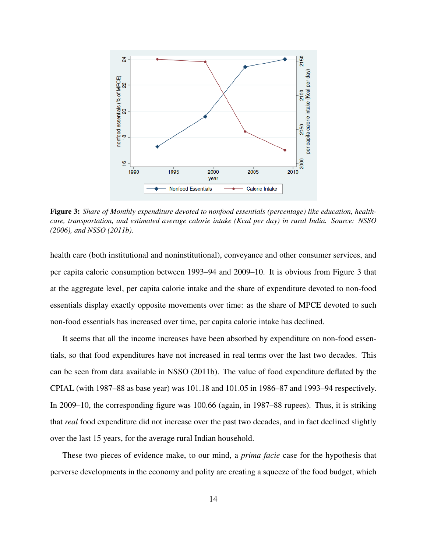

Figure 3: *Share of Monthly expenditure devoted to nonfood essentials (percentage) like education, healthcare, transportation, and estimated average calorie intake (Kcal per day) in rural India. Source: NSSO (2006), and NSSO (2011b).*

health care (both institutional and noninstitutional), conveyance and other consumer services, and per capita calorie consumption between 1993–94 and 2009–10. It is obvious from Figure 3 that at the aggregate level, per capita calorie intake and the share of expenditure devoted to non-food essentials display exactly opposite movements over time: as the share of MPCE devoted to such non-food essentials has increased over time, per capita calorie intake has declined.

It seems that all the income increases have been absorbed by expenditure on non-food essentials, so that food expenditures have not increased in real terms over the last two decades. This can be seen from data available in NSSO (2011b). The value of food expenditure deflated by the CPIAL (with 1987–88 as base year) was 101.18 and 101.05 in 1986–87 and 1993–94 respectively. In 2009–10, the corresponding figure was 100.66 (again, in 1987–88 rupees). Thus, it is striking that *real* food expenditure did not increase over the past two decades, and in fact declined slightly over the last 15 years, for the average rural Indian household.

These two pieces of evidence make, to our mind, a *prima facie* case for the hypothesis that perverse developments in the economy and polity are creating a squeeze of the food budget, which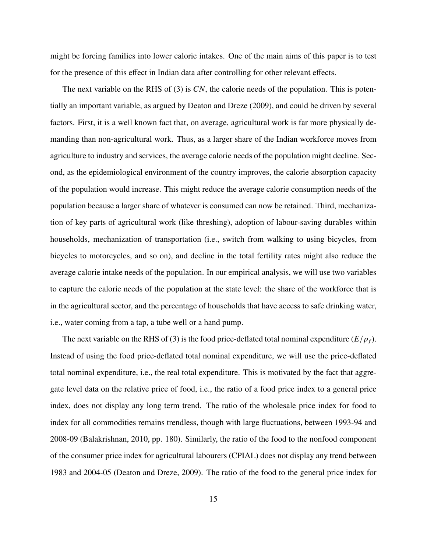might be forcing families into lower calorie intakes. One of the main aims of this paper is to test for the presence of this effect in Indian data after controlling for other relevant effects.

The next variable on the RHS of (3) is *CN*, the calorie needs of the population. This is potentially an important variable, as argued by Deaton and Dreze (2009), and could be driven by several factors. First, it is a well known fact that, on average, agricultural work is far more physically demanding than non-agricultural work. Thus, as a larger share of the Indian workforce moves from agriculture to industry and services, the average calorie needs of the population might decline. Second, as the epidemiological environment of the country improves, the calorie absorption capacity of the population would increase. This might reduce the average calorie consumption needs of the population because a larger share of whatever is consumed can now be retained. Third, mechanization of key parts of agricultural work (like threshing), adoption of labour-saving durables within households, mechanization of transportation (i.e., switch from walking to using bicycles, from bicycles to motorcycles, and so on), and decline in the total fertility rates might also reduce the average calorie intake needs of the population. In our empirical analysis, we will use two variables to capture the calorie needs of the population at the state level: the share of the workforce that is in the agricultural sector, and the percentage of households that have access to safe drinking water, i.e., water coming from a tap, a tube well or a hand pump.

The next variable on the RHS of (3) is the food price-deflated total nominal expenditure  $(E/p_f)$ . Instead of using the food price-deflated total nominal expenditure, we will use the price-deflated total nominal expenditure, i.e., the real total expenditure. This is motivated by the fact that aggregate level data on the relative price of food, i.e., the ratio of a food price index to a general price index, does not display any long term trend. The ratio of the wholesale price index for food to index for all commodities remains trendless, though with large fluctuations, between 1993-94 and 2008-09 (Balakrishnan, 2010, pp. 180). Similarly, the ratio of the food to the nonfood component of the consumer price index for agricultural labourers (CPIAL) does not display any trend between 1983 and 2004-05 (Deaton and Dreze, 2009). The ratio of the food to the general price index for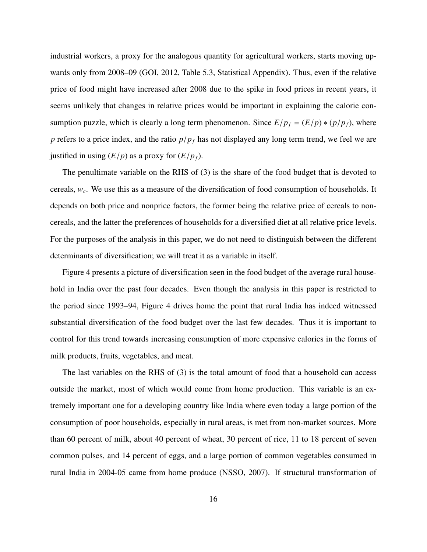industrial workers, a proxy for the analogous quantity for agricultural workers, starts moving upwards only from 2008–09 (GOI, 2012, Table 5.3, Statistical Appendix). Thus, even if the relative price of food might have increased after 2008 due to the spike in food prices in recent years, it seems unlikely that changes in relative prices would be important in explaining the calorie consumption puzzle, which is clearly a long term phenomenon. Since  $E/p_f = (E/p) * (p/p_f)$ , where *<sup>p</sup>* refers to a price index, and the ratio *<sup>p</sup>*/*p<sup>f</sup>* has not displayed any long term trend, we feel we are justified in using  $(E/p)$  as a proxy for  $(E/p<sub>f</sub>)$ .

The penultimate variable on the RHS of (3) is the share of the food budget that is devoted to cereals, *w<sup>c</sup>* . We use this as a measure of the diversification of food consumption of households. It depends on both price and nonprice factors, the former being the relative price of cereals to noncereals, and the latter the preferences of households for a diversified diet at all relative price levels. For the purposes of the analysis in this paper, we do not need to distinguish between the different determinants of diversification; we will treat it as a variable in itself.

Figure 4 presents a picture of diversification seen in the food budget of the average rural household in India over the past four decades. Even though the analysis in this paper is restricted to the period since 1993–94, Figure 4 drives home the point that rural India has indeed witnessed substantial diversification of the food budget over the last few decades. Thus it is important to control for this trend towards increasing consumption of more expensive calories in the forms of milk products, fruits, vegetables, and meat.

The last variables on the RHS of (3) is the total amount of food that a household can access outside the market, most of which would come from home production. This variable is an extremely important one for a developing country like India where even today a large portion of the consumption of poor households, especially in rural areas, is met from non-market sources. More than 60 percent of milk, about 40 percent of wheat, 30 percent of rice, 11 to 18 percent of seven common pulses, and 14 percent of eggs, and a large portion of common vegetables consumed in rural India in 2004-05 came from home produce (NSSO, 2007). If structural transformation of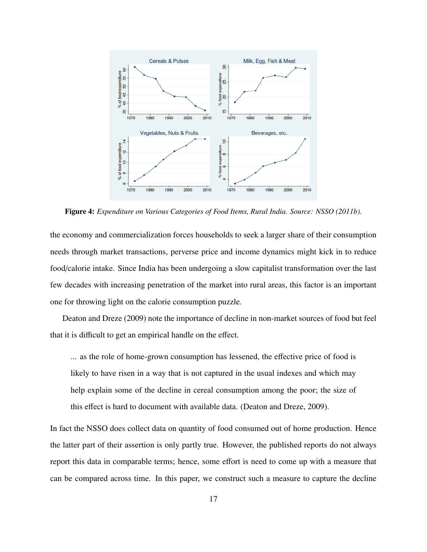

Figure 4: *Expenditure on Various Categories of Food Items, Rural India. Source: NSSO (2011b).*

the economy and commercialization forces households to seek a larger share of their consumption needs through market transactions, perverse price and income dynamics might kick in to reduce food/calorie intake. Since India has been undergoing a slow capitalist transformation over the last few decades with increasing penetration of the market into rural areas, this factor is an important one for throwing light on the calorie consumption puzzle.

Deaton and Dreze (2009) note the importance of decline in non-market sources of food but feel that it is difficult to get an empirical handle on the effect.

... as the role of home-grown consumption has lessened, the effective price of food is likely to have risen in a way that is not captured in the usual indexes and which may help explain some of the decline in cereal consumption among the poor; the size of this effect is hard to document with available data. (Deaton and Dreze, 2009).

In fact the NSSO does collect data on quantity of food consumed out of home production. Hence the latter part of their assertion is only partly true. However, the published reports do not always report this data in comparable terms; hence, some effort is need to come up with a measure that can be compared across time. In this paper, we construct such a measure to capture the decline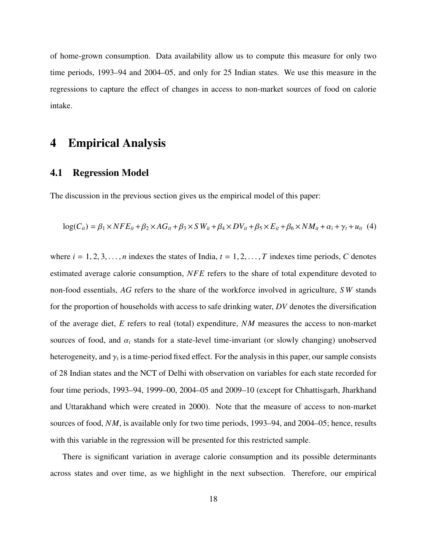of home-grown consumption. Data availability allow us to compute this measure for only two time periods, 1993–94 and 2004–05, and only for 25 Indian states. We use this measure in the regressions to capture the effect of changes in access to non-market sources of food on calorie intake.

### 4 Empirical Analysis

#### 4.1 Regression Model

The discussion in the previous section gives us the empirical model of this paper:

$$
log(C_{it}) = \beta_1 \times NFE_{it} + \beta_2 \times AG_{it} + \beta_3 \times SW_{it} + \beta_4 \times DV_{it} + \beta_5 \times E_{it} + \beta_6 \times NM_{it} + \alpha_i + \gamma_t + u_{it} \tag{4}
$$

where  $i = 1, 2, 3, \ldots, n$  indexes the states of India,  $t = 1, 2, \ldots, T$  indexes time periods, C denotes estimated average calorie consumption, *NFE* refers to the share of total expenditure devoted to non-food essentials, *AG* refers to the share of the workforce involved in agriculture, *S W* stands for the proportion of households with access to safe drinking water, *DV* denotes the diversification of the average diet, *E* refers to real (total) expenditure, *NM* measures the access to non-market sources of food, and  $\alpha_i$  stands for a state-level time-invariant (or slowly changing) unobserved heterogeneity, and  $\gamma_t$  is a time-period fixed effect. For the analysis in this paper, our sample consists of 28 Indian states and the NCT of Delhi with observation on variables for each state recorded for four time periods, 1993–94, 1999–00, 2004–05 and 2009–10 (except for Chhattisgarh, Jharkhand and Uttarakhand which were created in 2000). Note that the measure of access to non-market sources of food, *NM*, is available only for two time periods, 1993–94, and 2004–05; hence, results with this variable in the regression will be presented for this restricted sample.

There is significant variation in average calorie consumption and its possible determinants across states and over time, as we highlight in the next subsection. Therefore, our empirical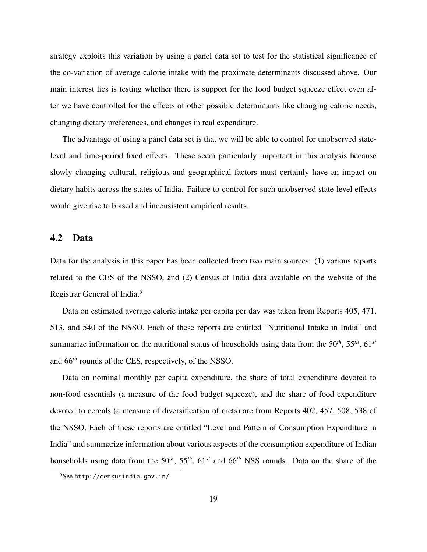strategy exploits this variation by using a panel data set to test for the statistical significance of the co-variation of average calorie intake with the proximate determinants discussed above. Our main interest lies is testing whether there is support for the food budget squeeze effect even after we have controlled for the effects of other possible determinants like changing calorie needs, changing dietary preferences, and changes in real expenditure.

The advantage of using a panel data set is that we will be able to control for unobserved statelevel and time-period fixed effects. These seem particularly important in this analysis because slowly changing cultural, religious and geographical factors must certainly have an impact on dietary habits across the states of India. Failure to control for such unobserved state-level effects would give rise to biased and inconsistent empirical results.

#### 4.2 Data

Data for the analysis in this paper has been collected from two main sources: (1) various reports related to the CES of the NSSO, and (2) Census of India data available on the website of the Registrar General of India.<sup>5</sup>

Data on estimated average calorie intake per capita per day was taken from Reports 405, 471, 513, and 540 of the NSSO. Each of these reports are entitled "Nutritional Intake in India" and summarize information on the nutritional status of households using data from the 50*th*, 55*th*, 61*st* and 66*th* rounds of the CES, respectively, of the NSSO.

Data on nominal monthly per capita expenditure, the share of total expenditure devoted to non-food essentials (a measure of the food budget squeeze), and the share of food expenditure devoted to cereals (a measure of diversification of diets) are from Reports 402, 457, 508, 538 of the NSSO. Each of these reports are entitled "Level and Pattern of Consumption Expenditure in India" and summarize information about various aspects of the consumption expenditure of Indian households using data from the 50*th*, 55*th*, 61*st* and 66*th* NSS rounds. Data on the share of the

 $5$ See http://censusindia.gov.in/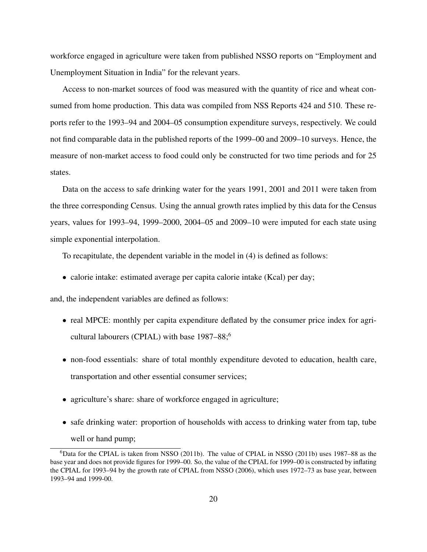workforce engaged in agriculture were taken from published NSSO reports on "Employment and Unemployment Situation in India" for the relevant years.

Access to non-market sources of food was measured with the quantity of rice and wheat consumed from home production. This data was compiled from NSS Reports 424 and 510. These reports refer to the 1993–94 and 2004–05 consumption expenditure surveys, respectively. We could not find comparable data in the published reports of the 1999–00 and 2009–10 surveys. Hence, the measure of non-market access to food could only be constructed for two time periods and for 25 states.

Data on the access to safe drinking water for the years 1991, 2001 and 2011 were taken from the three corresponding Census. Using the annual growth rates implied by this data for the Census years, values for 1993–94, 1999–2000, 2004–05 and 2009–10 were imputed for each state using simple exponential interpolation.

To recapitulate, the dependent variable in the model in (4) is defined as follows:

• calorie intake: estimated average per capita calorie intake (Kcal) per day;

and, the independent variables are defined as follows:

- real MPCE: monthly per capita expenditure deflated by the consumer price index for agricultural labourers (CPIAL) with base 1987–88;<sup>6</sup>
- non-food essentials: share of total monthly expenditure devoted to education, health care, transportation and other essential consumer services;
- agriculture's share: share of workforce engaged in agriculture;
- safe drinking water: proportion of households with access to drinking water from tap, tube well or hand pump;

 $6$ Data for the CPIAL is taken from NSSO (2011b). The value of CPIAL in NSSO (2011b) uses 1987–88 as the base year and does not provide figures for 1999–00. So, the value of the CPIAL for 1999–00 is constructed by inflating the CPIAL for 1993–94 by the growth rate of CPIAL from NSSO (2006), which uses 1972–73 as base year, between 1993–94 and 1999-00.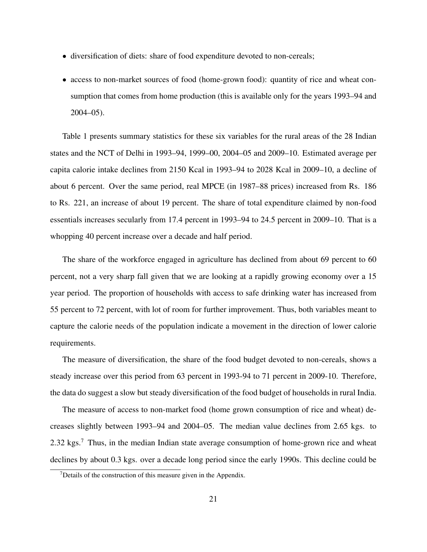- diversification of diets: share of food expenditure devoted to non-cereals;
- access to non-market sources of food (home-grown food): quantity of rice and wheat consumption that comes from home production (this is available only for the years 1993–94 and 2004–05).

Table 1 presents summary statistics for these six variables for the rural areas of the 28 Indian states and the NCT of Delhi in 1993–94, 1999–00, 2004–05 and 2009–10. Estimated average per capita calorie intake declines from 2150 Kcal in 1993–94 to 2028 Kcal in 2009–10, a decline of about 6 percent. Over the same period, real MPCE (in 1987–88 prices) increased from Rs. 186 to Rs. 221, an increase of about 19 percent. The share of total expenditure claimed by non-food essentials increases secularly from 17.4 percent in 1993–94 to 24.5 percent in 2009–10. That is a whopping 40 percent increase over a decade and half period.

The share of the workforce engaged in agriculture has declined from about 69 percent to 60 percent, not a very sharp fall given that we are looking at a rapidly growing economy over a 15 year period. The proportion of households with access to safe drinking water has increased from 55 percent to 72 percent, with lot of room for further improvement. Thus, both variables meant to capture the calorie needs of the population indicate a movement in the direction of lower calorie requirements.

The measure of diversification, the share of the food budget devoted to non-cereals, shows a steady increase over this period from 63 percent in 1993-94 to 71 percent in 2009-10. Therefore, the data do suggest a slow but steady diversification of the food budget of households in rural India.

The measure of access to non-market food (home grown consumption of rice and wheat) decreases slightly between 1993–94 and 2004–05. The median value declines from 2.65 kgs. to 2.32 kgs.<sup>7</sup> Thus, in the median Indian state average consumption of home-grown rice and wheat declines by about 0.3 kgs. over a decade long period since the early 1990s. This decline could be

 $7$ Details of the construction of this measure given in the Appendix.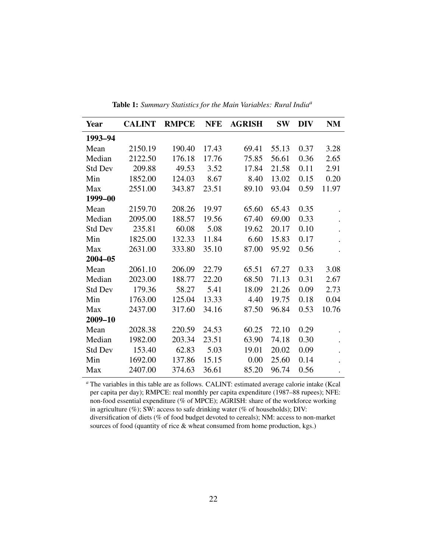| Year           | <b>CALINT</b> | <b>RMPCE</b> | <b>NFE</b> | <b>AGRISH</b> | <b>SW</b> | <b>DIV</b> | <b>NM</b> |
|----------------|---------------|--------------|------------|---------------|-----------|------------|-----------|
| 1993-94        |               |              |            |               |           |            |           |
| Mean           | 2150.19       | 190.40       | 17.43      | 69.41         | 55.13     | 0.37       | 3.28      |
| Median         | 2122.50       | 176.18       | 17.76      | 75.85         | 56.61     | 0.36       | 2.65      |
| <b>Std Dev</b> | 209.88        | 49.53        | 3.52       | 17.84         | 21.58     | 0.11       | 2.91      |
| Min            | 1852.00       | 124.03       | 8.67       | 8.40          | 13.02     | 0.15       | 0.20      |
| Max            | 2551.00       | 343.87       | 23.51      | 89.10         | 93.04     | 0.59       | 11.97     |
| 1999-00        |               |              |            |               |           |            |           |
| Mean           | 2159.70       | 208.26       | 19.97      | 65.60         | 65.43     | 0.35       |           |
| Median         | 2095.00       | 188.57       | 19.56      | 67.40         | 69.00     | 0.33       |           |
| <b>Std Dev</b> | 235.81        | 60.08        | 5.08       | 19.62         | 20.17     | 0.10       |           |
| Min            | 1825.00       | 132.33       | 11.84      | 6.60          | 15.83     | 0.17       |           |
| Max            | 2631.00       | 333.80       | 35.10      | 87.00         | 95.92     | 0.56       |           |
| $2004 - 05$    |               |              |            |               |           |            |           |
| Mean           | 2061.10       | 206.09       | 22.79      | 65.51         | 67.27     | 0.33       | 3.08      |
| Median         | 2023.00       | 188.77       | 22.20      | 68.50         | 71.13     | 0.31       | 2.67      |
| <b>Std Dev</b> | 179.36        | 58.27        | 5.41       | 18.09         | 21.26     | 0.09       | 2.73      |
| Min            | 1763.00       | 125.04       | 13.33      | 4.40          | 19.75     | 0.18       | 0.04      |
| Max            | 2437.00       | 317.60       | 34.16      | 87.50         | 96.84     | 0.53       | 10.76     |
| 2009-10        |               |              |            |               |           |            |           |
| Mean           | 2028.38       | 220.59       | 24.53      | 60.25         | 72.10     | 0.29       |           |
| Median         | 1982.00       | 203.34       | 23.51      | 63.90         | 74.18     | 0.30       |           |
| <b>Std Dev</b> | 153.40        | 62.83        | 5.03       | 19.01         | 20.02     | 0.09       |           |
| Min            | 1692.00       | 137.86       | 15.15      | 0.00          | 25.60     | 0.14       |           |
| Max            | 2407.00       | 374.63       | 36.61      | 85.20         | 96.74     | 0.56       | $\bullet$ |

Table 1: *Summary Statistics for the Main Variables: Rural India<sup>a</sup>*

*<sup>a</sup>* The variables in this table are as follows. CALINT: estimated average calorie intake (Kcal per capita per day); RMPCE: real monthly per capita expenditure (1987–88 rupees); NFE: non-food essential expenditure (% of MPCE); AGRISH: share of the workforce working in agriculture (%); SW: access to safe drinking water (% of households); DIV: diversification of diets (% of food budget devoted to cereals); NM: access to non-market sources of food (quantity of rice & wheat consumed from home production, kgs.)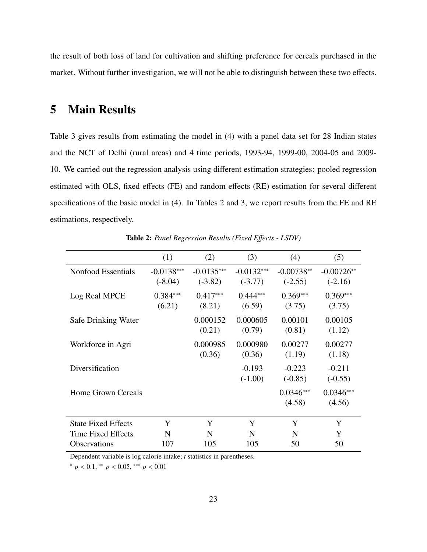the result of both loss of land for cultivation and shifting preference for cereals purchased in the market. Without further investigation, we will not be able to distinguish between these two effects.

## 5 Main Results

Table 3 gives results from estimating the model in (4) with a panel data set for 28 Indian states and the NCT of Delhi (rural areas) and 4 time periods, 1993-94, 1999-00, 2004-05 and 2009- 10. We carried out the regression analysis using different estimation strategies: pooled regression estimated with OLS, fixed effects (FE) and random effects (RE) estimation for several different specifications of the basic model in (4). In Tables 2 and 3, we report results from the FE and RE estimations, respectively.

|                            | (1)                       | (2)                       | (3)                       | (4)                       | (5)                       |
|----------------------------|---------------------------|---------------------------|---------------------------|---------------------------|---------------------------|
| Nonfood Essentials         | $-0.0138***$<br>$(-8.04)$ | $-0.0135***$<br>$(-3.82)$ | $-0.0132***$<br>$(-3.77)$ | $-0.00738**$<br>$(-2.55)$ | $-0.00726**$<br>$(-2.16)$ |
| Log Real MPCE              | $0.384***$<br>(6.21)      | $0.417***$<br>(8.21)      | $0.444***$<br>(6.59)      | $0.369***$<br>(3.75)      | $0.369***$<br>(3.75)      |
| Safe Drinking Water        |                           | 0.000152<br>(0.21)        | 0.000605<br>(0.79)        | 0.00101<br>(0.81)         | 0.00105<br>(1.12)         |
| Workforce in Agri          |                           | 0.000985<br>(0.36)        | 0.000980<br>(0.36)        | 0.00277<br>(1.19)         | 0.00277<br>(1.18)         |
| Diversification            |                           |                           | $-0.193$<br>$(-1.00)$     | $-0.223$<br>$(-0.85)$     | $-0.211$<br>$(-0.55)$     |
| <b>Home Grown Cereals</b>  |                           |                           |                           | $0.0346***$<br>(4.58)     | $0.0346***$<br>(4.56)     |
| <b>State Fixed Effects</b> | Y                         | Y                         | Y                         | Y                         | Y                         |
| Time Fixed Effects         | N                         | N                         | N                         | N                         | Y                         |
| <b>Observations</b>        | 107                       | 105                       | 105                       | 50                        | 50                        |

Table 2: *Panel Regression Results (Fixed E*ff*ects - LSDV)*

Dependent variable is log calorie intake; *t* statistics in parentheses.

<sup>∗</sup> *<sup>p</sup>* < <sup>0</sup>.1, ∗∗ *<sup>p</sup>* < <sup>0</sup>.05, ∗∗∗ *<sup>p</sup>* < <sup>0</sup>.<sup>01</sup>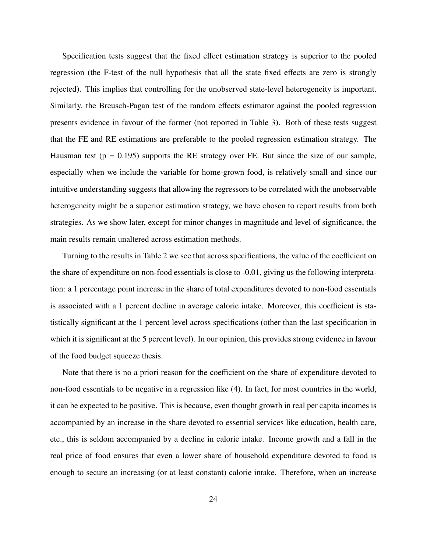Specification tests suggest that the fixed effect estimation strategy is superior to the pooled regression (the F-test of the null hypothesis that all the state fixed effects are zero is strongly rejected). This implies that controlling for the unobserved state-level heterogeneity is important. Similarly, the Breusch-Pagan test of the random effects estimator against the pooled regression presents evidence in favour of the former (not reported in Table 3). Both of these tests suggest that the FE and RE estimations are preferable to the pooled regression estimation strategy. The Hausman test ( $p = 0.195$ ) supports the RE strategy over FE. But since the size of our sample, especially when we include the variable for home-grown food, is relatively small and since our intuitive understanding suggests that allowing the regressors to be correlated with the unobservable heterogeneity might be a superior estimation strategy, we have chosen to report results from both strategies. As we show later, except for minor changes in magnitude and level of significance, the main results remain unaltered across estimation methods.

Turning to the results in Table 2 we see that across specifications, the value of the coefficient on the share of expenditure on non-food essentials is close to -0.01, giving us the following interpretation: a 1 percentage point increase in the share of total expenditures devoted to non-food essentials is associated with a 1 percent decline in average calorie intake. Moreover, this coefficient is statistically significant at the 1 percent level across specifications (other than the last specification in which it is significant at the 5 percent level). In our opinion, this provides strong evidence in favour of the food budget squeeze thesis.

Note that there is no a priori reason for the coefficient on the share of expenditure devoted to non-food essentials to be negative in a regression like (4). In fact, for most countries in the world, it can be expected to be positive. This is because, even thought growth in real per capita incomes is accompanied by an increase in the share devoted to essential services like education, health care, etc., this is seldom accompanied by a decline in calorie intake. Income growth and a fall in the real price of food ensures that even a lower share of household expenditure devoted to food is enough to secure an increasing (or at least constant) calorie intake. Therefore, when an increase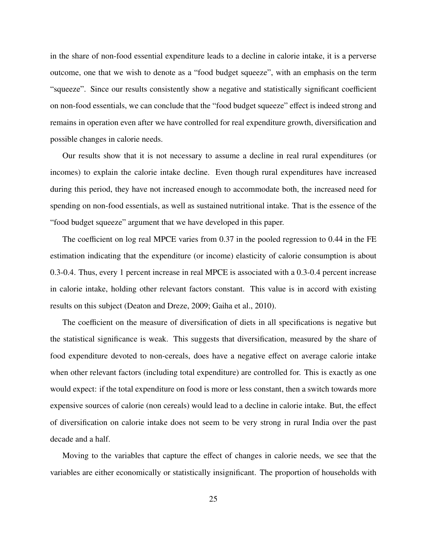in the share of non-food essential expenditure leads to a decline in calorie intake, it is a perverse outcome, one that we wish to denote as a "food budget squeeze", with an emphasis on the term "squeeze". Since our results consistently show a negative and statistically significant coefficient on non-food essentials, we can conclude that the "food budget squeeze" effect is indeed strong and remains in operation even after we have controlled for real expenditure growth, diversification and possible changes in calorie needs.

Our results show that it is not necessary to assume a decline in real rural expenditures (or incomes) to explain the calorie intake decline. Even though rural expenditures have increased during this period, they have not increased enough to accommodate both, the increased need for spending on non-food essentials, as well as sustained nutritional intake. That is the essence of the "food budget squeeze" argument that we have developed in this paper.

The coefficient on log real MPCE varies from 0.37 in the pooled regression to 0.44 in the FE estimation indicating that the expenditure (or income) elasticity of calorie consumption is about 0.3-0.4. Thus, every 1 percent increase in real MPCE is associated with a 0.3-0.4 percent increase in calorie intake, holding other relevant factors constant. This value is in accord with existing results on this subject (Deaton and Dreze, 2009; Gaiha et al., 2010).

The coefficient on the measure of diversification of diets in all specifications is negative but the statistical significance is weak. This suggests that diversification, measured by the share of food expenditure devoted to non-cereals, does have a negative effect on average calorie intake when other relevant factors (including total expenditure) are controlled for. This is exactly as one would expect: if the total expenditure on food is more or less constant, then a switch towards more expensive sources of calorie (non cereals) would lead to a decline in calorie intake. But, the effect of diversification on calorie intake does not seem to be very strong in rural India over the past decade and a half.

Moving to the variables that capture the effect of changes in calorie needs, we see that the variables are either economically or statistically insignificant. The proportion of households with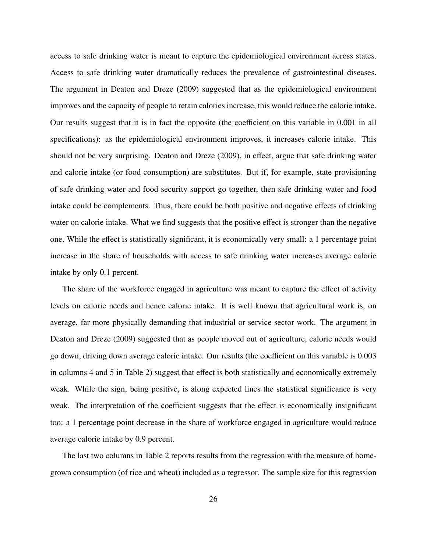access to safe drinking water is meant to capture the epidemiological environment across states. Access to safe drinking water dramatically reduces the prevalence of gastrointestinal diseases. The argument in Deaton and Dreze (2009) suggested that as the epidemiological environment improves and the capacity of people to retain calories increase, this would reduce the calorie intake. Our results suggest that it is in fact the opposite (the coefficient on this variable in 0.001 in all specifications): as the epidemiological environment improves, it increases calorie intake. This should not be very surprising. Deaton and Dreze (2009), in effect, argue that safe drinking water and calorie intake (or food consumption) are substitutes. But if, for example, state provisioning of safe drinking water and food security support go together, then safe drinking water and food intake could be complements. Thus, there could be both positive and negative effects of drinking water on calorie intake. What we find suggests that the positive effect is stronger than the negative one. While the effect is statistically significant, it is economically very small: a 1 percentage point increase in the share of households with access to safe drinking water increases average calorie intake by only 0.1 percent.

The share of the workforce engaged in agriculture was meant to capture the effect of activity levels on calorie needs and hence calorie intake. It is well known that agricultural work is, on average, far more physically demanding that industrial or service sector work. The argument in Deaton and Dreze (2009) suggested that as people moved out of agriculture, calorie needs would go down, driving down average calorie intake. Our results (the coefficient on this variable is 0.003 in columns 4 and 5 in Table 2) suggest that effect is both statistically and economically extremely weak. While the sign, being positive, is along expected lines the statistical significance is very weak. The interpretation of the coefficient suggests that the effect is economically insignificant too: a 1 percentage point decrease in the share of workforce engaged in agriculture would reduce average calorie intake by 0.9 percent.

The last two columns in Table 2 reports results from the regression with the measure of homegrown consumption (of rice and wheat) included as a regressor. The sample size for this regression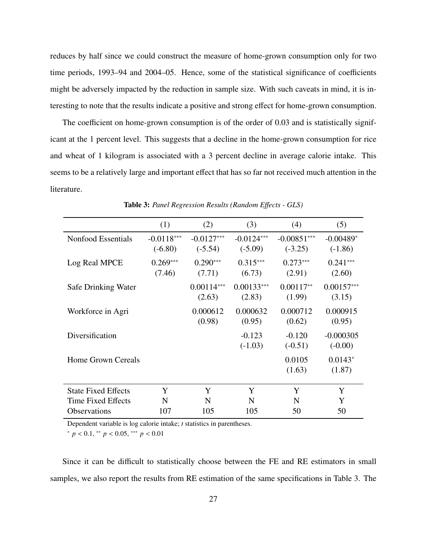reduces by half since we could construct the measure of home-grown consumption only for two time periods, 1993–94 and 2004–05. Hence, some of the statistical significance of coefficients might be adversely impacted by the reduction in sample size. With such caveats in mind, it is interesting to note that the results indicate a positive and strong effect for home-grown consumption.

The coefficient on home-grown consumption is of the order of 0.03 and is statistically significant at the 1 percent level. This suggests that a decline in the home-grown consumption for rice and wheat of 1 kilogram is associated with a 3 percent decline in average calorie intake. This seems to be a relatively large and important effect that has so far not received much attention in the literature.

|                            | (1)                       | (2)                       | (3)                       | (4)                        | (5)                      |
|----------------------------|---------------------------|---------------------------|---------------------------|----------------------------|--------------------------|
| Nonfood Essentials         | $-0.0118***$<br>$(-6.80)$ | $-0.0127***$<br>$(-5.54)$ | $-0.0124***$<br>$(-5.09)$ | $-0.00851***$<br>$(-3.25)$ | $-0.00489*$<br>$(-1.86)$ |
| Log Real MPCE              | $0.269***$<br>(7.46)      | $0.290***$<br>(7.71)      | $0.315***$<br>(6.73)      | $0.273***$<br>(2.91)       | $0.241***$<br>(2.60)     |
| Safe Drinking Water        |                           | $0.00114***$<br>(2.63)    | $0.00133***$<br>(2.83)    | $0.00117**$<br>(1.99)      | $0.00157***$<br>(3.15)   |
| Workforce in Agri          |                           | 0.000612<br>(0.98)        | 0.000632<br>(0.95)        | 0.000712<br>(0.62)         | 0.000915<br>(0.95)       |
| Diversification            |                           |                           | $-0.123$<br>$(-1.03)$     | $-0.120$<br>$(-0.51)$      | $-0.000305$<br>$(-0.00)$ |
| <b>Home Grown Cereals</b>  |                           |                           |                           | 0.0105<br>(1.63)           | $0.0143*$<br>(1.87)      |
| <b>State Fixed Effects</b> | Y                         | Y                         | Y                         | Y                          | Y                        |
| Time Fixed Effects         | N                         | N                         | N                         | N                          | Y                        |
| <b>Observations</b>        | 107                       | 105                       | 105                       | 50                         | 50                       |

Table 3: *Panel Regression Results (Random E*ff*ects - GLS)*

Dependent variable is log calorie intake; *t* statistics in parentheses.

<sup>∗</sup> *<sup>p</sup>* < <sup>0</sup>.1, ∗∗ *<sup>p</sup>* < <sup>0</sup>.05, ∗∗∗ *<sup>p</sup>* < <sup>0</sup>.<sup>01</sup>

Since it can be difficult to statistically choose between the FE and RE estimators in small samples, we also report the results from RE estimation of the same specifications in Table 3. The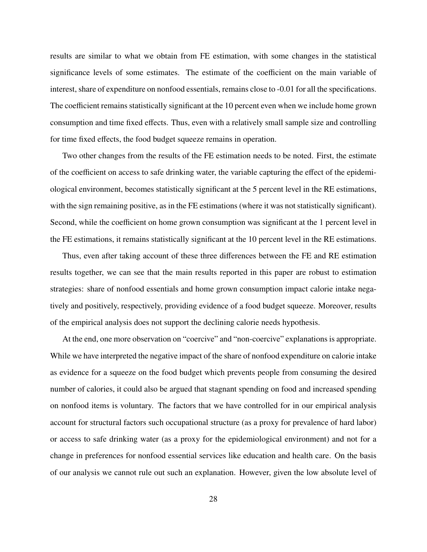results are similar to what we obtain from FE estimation, with some changes in the statistical significance levels of some estimates. The estimate of the coefficient on the main variable of interest, share of expenditure on nonfood essentials, remains close to -0.01 for all the specifications. The coefficient remains statistically significant at the 10 percent even when we include home grown consumption and time fixed effects. Thus, even with a relatively small sample size and controlling for time fixed effects, the food budget squeeze remains in operation.

Two other changes from the results of the FE estimation needs to be noted. First, the estimate of the coefficient on access to safe drinking water, the variable capturing the effect of the epidemiological environment, becomes statistically significant at the 5 percent level in the RE estimations, with the sign remaining positive, as in the FE estimations (where it was not statistically significant). Second, while the coefficient on home grown consumption was significant at the 1 percent level in the FE estimations, it remains statistically significant at the 10 percent level in the RE estimations.

Thus, even after taking account of these three differences between the FE and RE estimation results together, we can see that the main results reported in this paper are robust to estimation strategies: share of nonfood essentials and home grown consumption impact calorie intake negatively and positively, respectively, providing evidence of a food budget squeeze. Moreover, results of the empirical analysis does not support the declining calorie needs hypothesis.

At the end, one more observation on "coercive" and "non-coercive" explanations is appropriate. While we have interpreted the negative impact of the share of nonfood expenditure on calorie intake as evidence for a squeeze on the food budget which prevents people from consuming the desired number of calories, it could also be argued that stagnant spending on food and increased spending on nonfood items is voluntary. The factors that we have controlled for in our empirical analysis account for structural factors such occupational structure (as a proxy for prevalence of hard labor) or access to safe drinking water (as a proxy for the epidemiological environment) and not for a change in preferences for nonfood essential services like education and health care. On the basis of our analysis we cannot rule out such an explanation. However, given the low absolute level of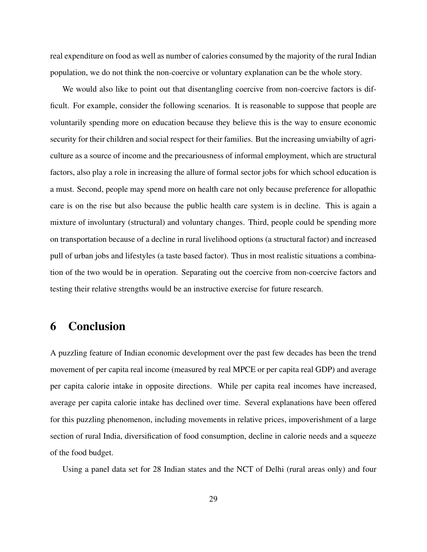real expenditure on food as well as number of calories consumed by the majority of the rural Indian population, we do not think the non-coercive or voluntary explanation can be the whole story.

We would also like to point out that disentangling coercive from non-coercive factors is difficult. For example, consider the following scenarios. It is reasonable to suppose that people are voluntarily spending more on education because they believe this is the way to ensure economic security for their children and social respect for their families. But the increasing unviabilty of agriculture as a source of income and the precariousness of informal employment, which are structural factors, also play a role in increasing the allure of formal sector jobs for which school education is a must. Second, people may spend more on health care not only because preference for allopathic care is on the rise but also because the public health care system is in decline. This is again a mixture of involuntary (structural) and voluntary changes. Third, people could be spending more on transportation because of a decline in rural livelihood options (a structural factor) and increased pull of urban jobs and lifestyles (a taste based factor). Thus in most realistic situations a combination of the two would be in operation. Separating out the coercive from non-coercive factors and testing their relative strengths would be an instructive exercise for future research.

## 6 Conclusion

A puzzling feature of Indian economic development over the past few decades has been the trend movement of per capita real income (measured by real MPCE or per capita real GDP) and average per capita calorie intake in opposite directions. While per capita real incomes have increased, average per capita calorie intake has declined over time. Several explanations have been offered for this puzzling phenomenon, including movements in relative prices, impoverishment of a large section of rural India, diversification of food consumption, decline in calorie needs and a squeeze of the food budget.

Using a panel data set for 28 Indian states and the NCT of Delhi (rural areas only) and four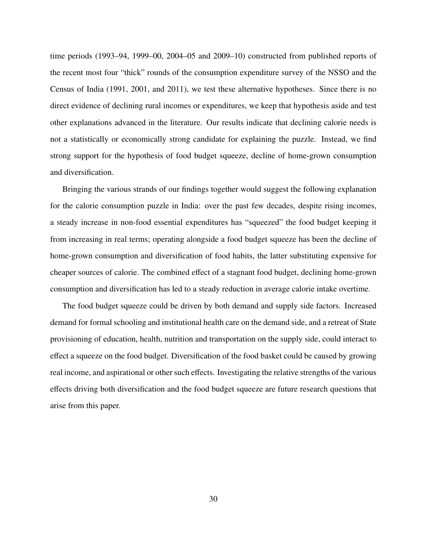time periods (1993–94, 1999–00, 2004–05 and 2009–10) constructed from published reports of the recent most four "thick" rounds of the consumption expenditure survey of the NSSO and the Census of India (1991, 2001, and 2011), we test these alternative hypotheses. Since there is no direct evidence of declining rural incomes or expenditures, we keep that hypothesis aside and test other explanations advanced in the literature. Our results indicate that declining calorie needs is not a statistically or economically strong candidate for explaining the puzzle. Instead, we find strong support for the hypothesis of food budget squeeze, decline of home-grown consumption and diversification.

Bringing the various strands of our findings together would suggest the following explanation for the calorie consumption puzzle in India: over the past few decades, despite rising incomes, a steady increase in non-food essential expenditures has "squeezed" the food budget keeping it from increasing in real terms; operating alongside a food budget squeeze has been the decline of home-grown consumption and diversification of food habits, the latter substituting expensive for cheaper sources of calorie. The combined effect of a stagnant food budget, declining home-grown consumption and diversification has led to a steady reduction in average calorie intake overtime.

The food budget squeeze could be driven by both demand and supply side factors. Increased demand for formal schooling and institutional health care on the demand side, and a retreat of State provisioning of education, health, nutrition and transportation on the supply side, could interact to effect a squeeze on the food budget. Diversification of the food basket could be caused by growing real income, and aspirational or other such effects. Investigating the relative strengths of the various effects driving both diversification and the food budget squeeze are future research questions that arise from this paper.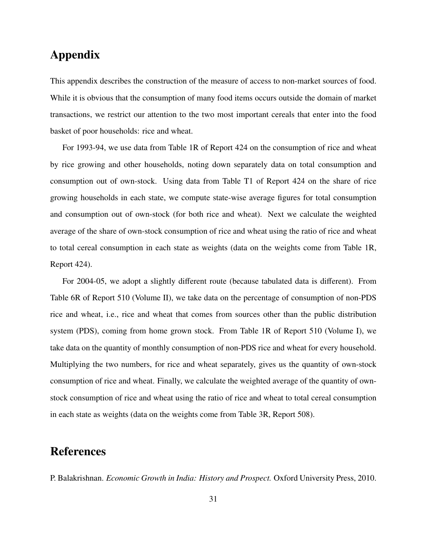## Appendix

This appendix describes the construction of the measure of access to non-market sources of food. While it is obvious that the consumption of many food items occurs outside the domain of market transactions, we restrict our attention to the two most important cereals that enter into the food basket of poor households: rice and wheat.

For 1993-94, we use data from Table 1R of Report 424 on the consumption of rice and wheat by rice growing and other households, noting down separately data on total consumption and consumption out of own-stock. Using data from Table T1 of Report 424 on the share of rice growing households in each state, we compute state-wise average figures for total consumption and consumption out of own-stock (for both rice and wheat). Next we calculate the weighted average of the share of own-stock consumption of rice and wheat using the ratio of rice and wheat to total cereal consumption in each state as weights (data on the weights come from Table 1R, Report 424).

For 2004-05, we adopt a slightly different route (because tabulated data is different). From Table 6R of Report 510 (Volume II), we take data on the percentage of consumption of non-PDS rice and wheat, i.e., rice and wheat that comes from sources other than the public distribution system (PDS), coming from home grown stock. From Table 1R of Report 510 (Volume I), we take data on the quantity of monthly consumption of non-PDS rice and wheat for every household. Multiplying the two numbers, for rice and wheat separately, gives us the quantity of own-stock consumption of rice and wheat. Finally, we calculate the weighted average of the quantity of ownstock consumption of rice and wheat using the ratio of rice and wheat to total cereal consumption in each state as weights (data on the weights come from Table 3R, Report 508).

### References

P. Balakrishnan. *Economic Growth in India: History and Prospect.* Oxford University Press, 2010.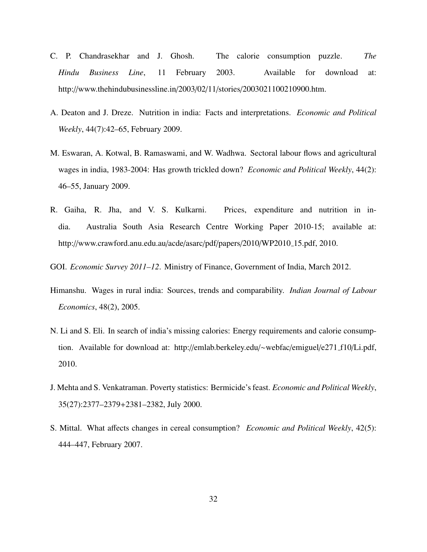- C. P. Chandrasekhar and J. Ghosh. The calorie consumption puzzle. *The Hindu Business Line*, 11 February 2003. Available for download at: http://www.thehindubusinessline.in/2003/02/11/stories/2003021100210900.htm.
- A. Deaton and J. Dreze. Nutrition in india: Facts and interpretations. *Economic and Political Weekly*, 44(7):42–65, February 2009.
- M. Eswaran, A. Kotwal, B. Ramaswami, and W. Wadhwa. Sectoral labour flows and agricultural wages in india, 1983-2004: Has growth trickled down? *Economic and Political Weekly*, 44(2): 46–55, January 2009.
- R. Gaiha, R. Jha, and V. S. Kulkarni. Prices, expenditure and nutrition in india. Australia South Asia Research Centre Working Paper 2010-15; available at: http://www.crawford.anu.edu.au/acde/asarc/pdf/papers/2010/WP2010 15.pdf, 2010.
- GOI. *Economic Survey 2011–12*. Ministry of Finance, Government of India, March 2012.
- Himanshu. Wages in rural india: Sources, trends and comparability. *Indian Journal of Labour Economics*, 48(2), 2005.
- N. Li and S. Eli. In search of india's missing calories: Energy requirements and calorie consumption. Available for download at: http://emlab.berkeley.edu/∼webfac/emiguel/e271 f10/Li.pdf, 2010.
- J. Mehta and S. Venkatraman. Poverty statistics: Bermicide's feast. *Economic and Political Weekly*, 35(27):2377–2379+2381–2382, July 2000.
- S. Mittal. What affects changes in cereal consumption? *Economic and Political Weekly*, 42(5): 444–447, February 2007.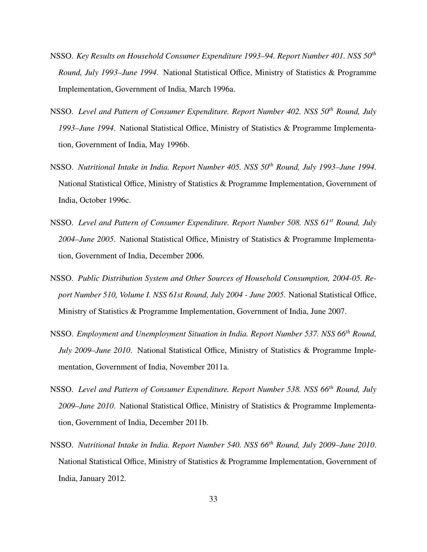- NSSO. *Key Results on Household Consumer Expenditure 1993–94. Report Number 401. NSS 50th Round, July 1993–June 1994*. National Statistical Office, Ministry of Statistics & Programme Implementation, Government of India, March 1996a.
- NSSO. *Level and Pattern of Consumer Expenditure. Report Number 402. NSS 50th Round, July 1993–June 1994*. National Statistical Office, Ministry of Statistics & Programme Implementation, Government of India, May 1996b.
- NSSO. *Nutritional Intake in India. Report Number 405. NSS 50th Round, July 1993–June 1994*. National Statistical Office, Ministry of Statistics & Programme Implementation, Government of India, October 1996c.
- NSSO. *Level and Pattern of Consumer Expenditure. Report Number 508. NSS 61st Round, July 2004–June 2005*. National Statistical Office, Ministry of Statistics & Programme Implementation, Government of India, December 2006.
- NSSO. *Public Distribution System and Other Sources of Household Consumption, 2004-05. Report Number 510, Volume I. NSS 61st Round, July 2004 - June 2005*. National Statistical Office, Ministry of Statistics & Programme Implementation, Government of India, June 2007.
- NSSO. *Employment and Unemployment Situation in India. Report Number 537. NSS 66th Round, July 2009–June 2010*. National Statistical Office, Ministry of Statistics & Programme Implementation, Government of India, November 2011a.
- NSSO. *Level and Pattern of Consumer Expenditure. Report Number 538. NSS 66th Round, July 2009–June 2010*. National Statistical Office, Ministry of Statistics & Programme Implementation, Government of India, December 2011b.
- NSSO. *Nutritional Intake in India. Report Number 540. NSS 66th Round, July 2009–June 2010*. National Statistical Office, Ministry of Statistics & Programme Implementation, Government of India, January 2012.